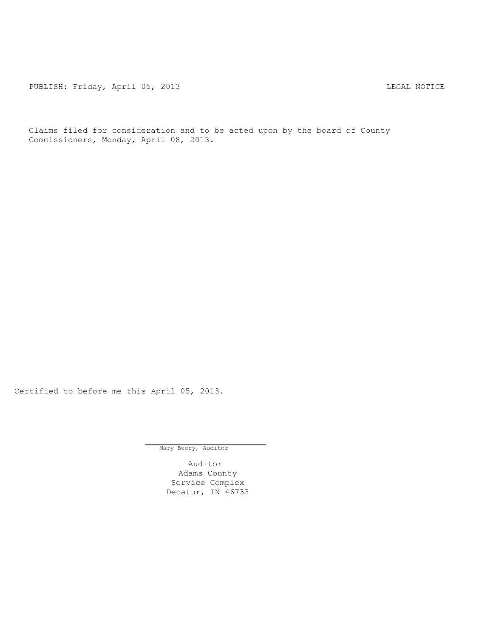PUBLISH: Friday, April 05, 2013 LEGAL NOTICE

Claims filed for consideration and to be acted upon by the board of County Commissioners, Monday, April 08, 2013.

Certified to before me this April 05, 2013.

Mary Beery, Auditor

Auditor Adams County Service Complex Decatur, IN 46733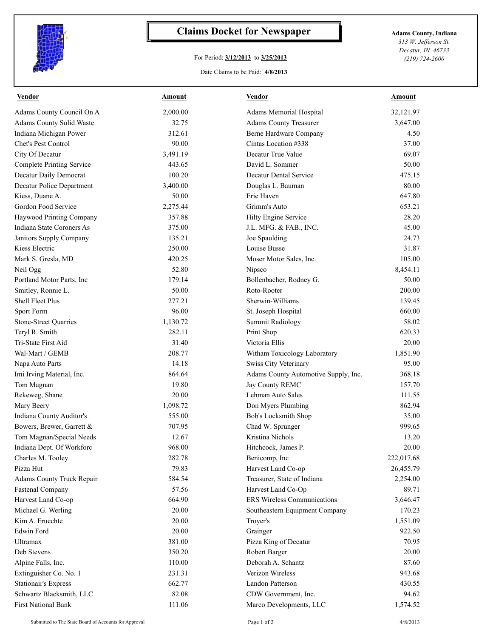

## **Claims Docket for Newspaper Adams County, Indiana**

## For Period: **3/12/2013** to **3/25/2013**

*313 W. Jefferson St. Decatur, IN 46733 (219) 724-2600*

## Date Claims to be Paid: **4/8/2013**

| <b>Vendor</b>               | <b>Amount</b> | <b>Vendor</b>                        | <b>Amount</b> |
|-----------------------------|---------------|--------------------------------------|---------------|
| Adams County Council On A   | 2,000.00      | Adams Memorial Hospital              | 32,121.97     |
| Adams County Solid Waste    | 32.75         | <b>Adams County Treasurer</b>        | 3,647.00      |
| Indiana Michigan Power      | 312.61        | Berne Hardware Company               | 4.50          |
| Chet's Pest Control         | 90.00         | Cintas Location #338                 | 37.00         |
| City Of Decatur             | 3,491.19      | Decatur True Value                   | 69.07         |
| Complete Printing Service   | 443.65        | David L. Sommer                      | 50.00         |
| Decatur Daily Democrat      | 100.20        | Decatur Dental Service               | 475.15        |
| Decatur Police Department   | 3,400.00      | Douglas L. Bauman                    | 80.00         |
| Kiess, Duane A.             | 50.00         | Erie Haven                           | 647.80        |
| Gordon Food Service         | 2,275.44      | Grimm's Auto                         | 653.21        |
| Haywood Printing Company    | 357.88        | Hilty Engine Service                 | 28.20         |
| Indiana State Coroners As   | 375.00        | J.L. MFG. & FAB., INC.               | 45.00         |
| Janitors Supply Company     | 135.21        | Joe Spaulding                        | 24.73         |
| Kiess Electric              | 250.00        | Louise Busse                         | 31.87         |
| Mark S. Gresla, MD          | 420.25        | Moser Motor Sales, Inc.              | 105.00        |
| Neil Ogg                    | 52.80         | Nipsco                               | 8,454.11      |
| Portland Motor Parts, Inc.  | 179.14        | Bollenbacher, Rodney G.              | 50.00         |
| Smitley, Ronnie L.          | 50.00         | Roto-Rooter                          | 200.00        |
| <b>Shell Fleet Plus</b>     | 277.21        | Sherwin-Williams                     | 139.45        |
| Sport Form                  | 96.00         | St. Joseph Hospital                  | 660.00        |
| Stone-Street Quarries       | 1,130.72      | <b>Summit Radiology</b>              | 58.02         |
| Teryl R. Smith              | 282.11        | Print Shop                           | 620.33        |
| Tri-State First Aid         | 31.40         | Victoria Ellis                       | 20.00         |
| Wal-Mart / GEMB             | 208.77        | Witham Toxicology Laboratory         | 1,851.90      |
| Napa Auto Parts             | 14.18         | Swiss City Veterinary                | 95.00         |
| Imi Irving Material, Inc.   | 864.64        | Adams County Automotive Supply, Inc. | 368.18        |
| Tom Magnan                  | 19.80         | Jay County REMC                      | 157.70        |
| Rekeweg, Shane              | 20.00         | Lehman Auto Sales                    | 111.55        |
| Mary Beery                  | 1,098.72      | Don Myers Plumbing                   | 862.94        |
| Indiana County Auditor's    | 555.00        | Bob's Locksmith Shop                 | 35.00         |
| Bowers, Brewer, Garrett &   | 707.95        | Chad W. Sprunger                     | 999.65        |
| Tom Magnan/Special Needs    | 12.67         | Kristina Nichols                     | 13.20         |
| Indiana Dept. Of Workforc   | 968.00        | Hitchcock, James P.                  | 20.00         |
| Charles M. Tooley           | 282.78        |                                      | 222,017.68    |
| Pizza Hut                   | 79.83         | Benicomp, Inc.                       | 26,455.79     |
|                             |               | Harvest Land Co-op                   |               |
| Adams County Truck Repair   | 584.54        | Treasurer, State of Indiana          | 2,254.00      |
| <b>Fastenal Company</b>     | 57.56         | Harvest Land Co-Op                   | 89.71         |
| Harvest Land Co-op          | 664.90        | <b>ERS Wireless Communications</b>   | 3,646.47      |
| Michael G. Werling          | 20.00         | Southeastern Equipment Company       | 170.23        |
| Kim A. Fruechte             | 20.00         | Troyer's                             | 1,551.09      |
| Edwin Ford                  | 20.00         | Grainger                             | 922.50        |
| <b>Ultramax</b>             | 381.00        | Pizza King of Decatur                | 70.95         |
| Deb Stevens                 | 350.20        | Robert Barger                        | 20.00         |
| Alpine Falls, Inc.          | 110.00        | Deborah A. Schantz                   | 87.60         |
| Extinguisher Co. No. 1      | 231.31        | Verizon Wireless                     | 943.68        |
| <b>Stationair's Express</b> | 662.77        | Landon Patterson                     | 430.55        |
| Schwartz Blacksmith, LLC    | 82.08         | CDW Government, Inc.                 | 94.62         |
| <b>First National Bank</b>  | 111.06        | Marco Developments, LLC              | 1,574.52      |